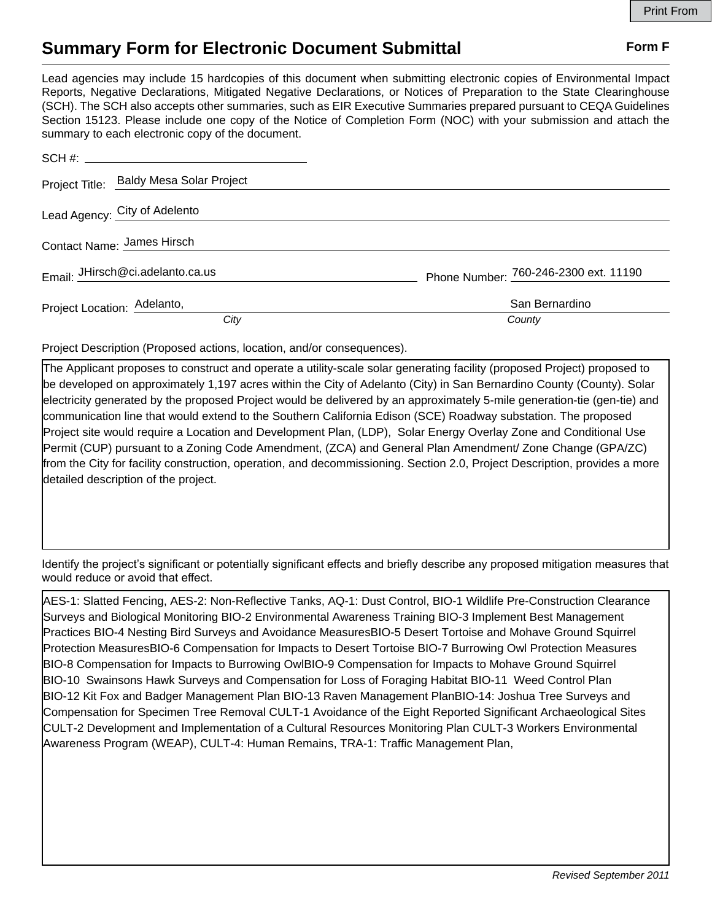## **Summary Form for Electronic Document Submittal Form F Form F**

Lead agencies may include 15 hardcopies of this document when submitting electronic copies of Environmental Impact Reports, Negative Declarations, Mitigated Negative Declarations, or Notices of Preparation to the State Clearinghouse (SCH). The SCH also accepts other summaries, such as EIR Executive Summaries prepared pursuant to CEQA Guidelines Section 15123. Please include one copy of the Notice of Completion Form (NOC) with your submission and attach the summary to each electronic copy of the document.

|                                  | Project Title: Baldy Mesa Solar Project |                                       |
|----------------------------------|-----------------------------------------|---------------------------------------|
| Lead Agency: City of Adelento    |                                         |                                       |
| Contact Name: James Hirsch       |                                         |                                       |
| Email: JHirsch@ci.adelanto.ca.us |                                         | Phone Number: 760-246-2300 ext. 11190 |
| Project Location: Adelanto,      |                                         | San Bernardino                        |
|                                  | City                                    | County                                |

Project Description (Proposed actions, location, and/or consequences).

The Applicant proposes to construct and operate a utility-scale solar generating facility (proposed Project) proposed to be developed on approximately 1,197 acres within the City of Adelanto (City) in San Bernardino County (County). Solar electricity generated by the proposed Project would be delivered by an approximately 5-mile generation-tie (gen-tie) and communication line that would extend to the Southern California Edison (SCE) Roadway substation. The proposed Project site would require a Location and Development Plan, (LDP), Solar Energy Overlay Zone and Conditional Use Permit (CUP) pursuant to a Zoning Code Amendment, (ZCA) and General Plan Amendment/ Zone Change (GPA/ZC) from the City for facility construction, operation, and decommissioning. Section 2.0, Project Description, provides a more detailed description of the project.

Identify the project's significant or potentially significant effects and briefly describe any proposed mitigation measures that would reduce or avoid that effect.

AES-1: Slatted Fencing, AES-2: Non-Reflective Tanks, AQ-1: Dust Control, BIO-1 Wildlife Pre-Construction Clearance Surveys and Biological Monitoring BIO-2 Environmental Awareness Training BIO-3 Implement Best Management Practices BIO-4 Nesting Bird Surveys and Avoidance MeasuresBIO-5 Desert Tortoise and Mohave Ground Squirrel Protection MeasuresBIO-6 Compensation for Impacts to Desert Tortoise BIO-7 Burrowing Owl Protection Measures BIO-8 Compensation for Impacts to Burrowing OwlBIO-9 Compensation for Impacts to Mohave Ground Squirrel BIO-10 Swainsons Hawk Surveys and Compensation for Loss of Foraging Habitat BIO-11 Weed Control Plan BIO-12 Kit Fox and Badger Management Plan BIO-13 Raven Management PlanBIO-14: Joshua Tree Surveys and Compensation for Specimen Tree Removal CULT-1 Avoidance of the Eight Reported Significant Archaeological Sites CULT-2 Development and Implementation of a Cultural Resources Monitoring Plan CULT-3 Workers Environmental Awareness Program (WEAP), CULT-4: Human Remains, TRA-1: Traffic Management Plan,